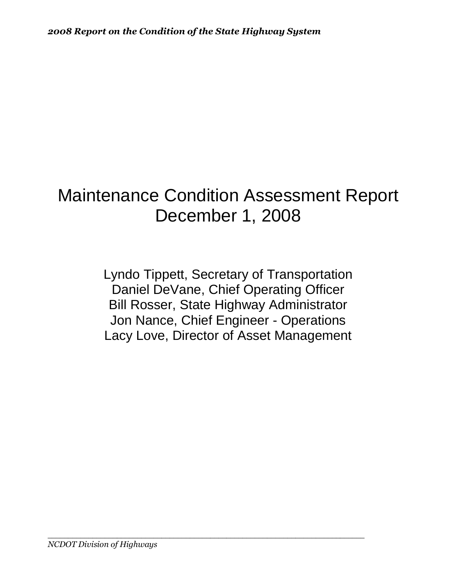# Maintenance Condition Assessment Report December 1, 2008

Lyndo Tippett, Secretary of Transportation Daniel DeVane, Chief Operating Officer Bill Rosser, State Highway Administrator Jon Nance, Chief Engineer - Operations Lacy Love, Director of Asset Management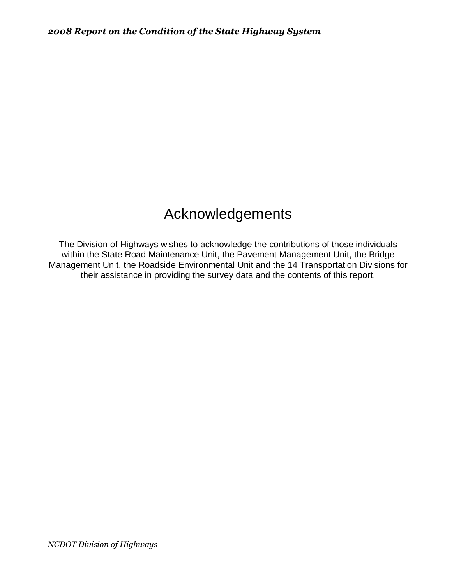# Acknowledgements

The Division of Highways wishes to acknowledge the contributions of those individuals within the State Road Maintenance Unit, the Pavement Management Unit, the Bridge Management Unit, the Roadside Environmental Unit and the 14 Transportation Divisions for their assistance in providing the survey data and the contents of this report.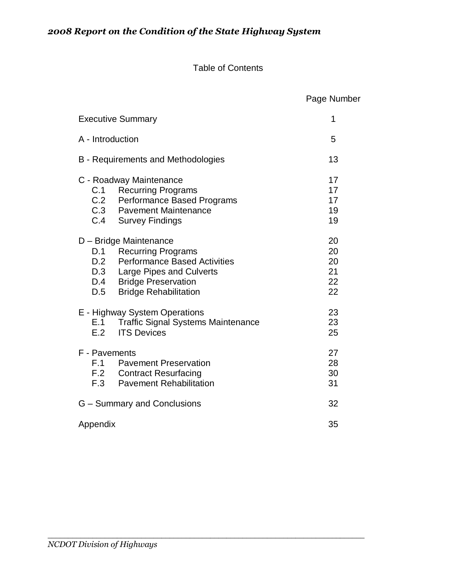#### Table of Contents

 Page Number Executive Summary **1** A - Introduction 5 B - Requirements and Methodologies 13 C - Roadway Maintenance 17 C.1 Recurring Programs 17<br>
C.2 Performance Based Programs 17 Performance Based Programs 17 C.3 Pavement Maintenance 19 C.4 Survey Findings 19 D – Bridge Maintenance 20 D.1 Recurring Programs 20<br>
D.2 Performance Based Activities 20 Performance Based Activities 20 D.3 Large Pipes and Culverts 21 D.4 Bridge Preservation 22 D.5 Bridge Rehabilitation 22 E - Highway System Operations 23 E.1 Traffic Signal Systems Maintenance 23 E.2 ITS Devices 25 F - Pavements 27 F.1 Pavement Preservation 28 F.2 Contract Resurfacing 30 F.3 Pavement Rehabilitation **F.3** Pavement Rehabilitation G – Summary and Conclusions 32 Appendix 35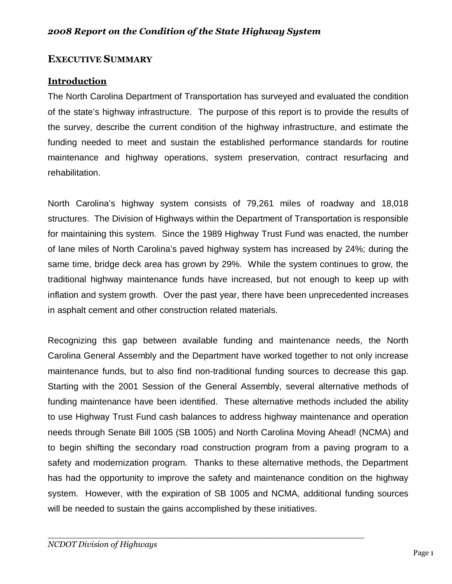## **EXECUTIVE SUMMARY**

## **Introduction**

The North Carolina Department of Transportation has surveyed and evaluated the condition of the state's highway infrastructure. The purpose of this report is to provide the results of the survey, describe the current condition of the highway infrastructure, and estimate the funding needed to meet and sustain the established performance standards for routine maintenance and highway operations, system preservation, contract resurfacing and rehabilitation.

North Carolina's highway system consists of 79,261 miles of roadway and 18,018 structures. The Division of Highways within the Department of Transportation is responsible for maintaining this system. Since the 1989 Highway Trust Fund was enacted, the number of lane miles of North Carolina's paved highway system has increased by 24%; during the same time, bridge deck area has grown by 29%. While the system continues to grow, the traditional highway maintenance funds have increased, but not enough to keep up with inflation and system growth. Over the past year, there have been unprecedented increases in asphalt cement and other construction related materials.

Recognizing this gap between available funding and maintenance needs, the North Carolina General Assembly and the Department have worked together to not only increase maintenance funds, but to also find non-traditional funding sources to decrease this gap. Starting with the 2001 Session of the General Assembly, several alternative methods of funding maintenance have been identified. These alternative methods included the ability to use Highway Trust Fund cash balances to address highway maintenance and operation needs through Senate Bill 1005 (SB 1005) and North Carolina Moving Ahead! (NCMA) and to begin shifting the secondary road construction program from a paving program to a safety and modernization program. Thanks to these alternative methods, the Department has had the opportunity to improve the safety and maintenance condition on the highway system. However, with the expiration of SB 1005 and NCMA, additional funding sources will be needed to sustain the gains accomplished by these initiatives.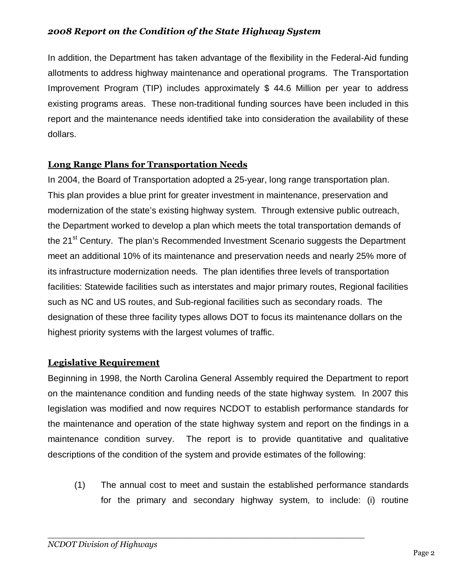In addition, the Department has taken advantage of the flexibility in the Federal-Aid funding allotments to address highway maintenance and operational programs. The Transportation Improvement Program (TIP) includes approximately \$ 44.6 Million per year to address existing programs areas. These non-traditional funding sources have been included in this report and the maintenance needs identified take into consideration the availability of these dollars.

## **Long Range Plans for Transportation Needs**

In 2004, the Board of Transportation adopted a 25-year, long range transportation plan. This plan provides a blue print for greater investment in maintenance, preservation and modernization of the state's existing highway system. Through extensive public outreach, the Department worked to develop a plan which meets the total transportation demands of the 21<sup>st</sup> Century. The plan's Recommended Investment Scenario suggests the Department meet an additional 10% of its maintenance and preservation needs and nearly 25% more of its infrastructure modernization needs. The plan identifies three levels of transportation facilities: Statewide facilities such as interstates and major primary routes, Regional facilities such as NC and US routes, and Sub-regional facilities such as secondary roads. The designation of these three facility types allows DOT to focus its maintenance dollars on the highest priority systems with the largest volumes of traffic.

## **Legislative Requirement**

Beginning in 1998, the North Carolina General Assembly required the Department to report on the maintenance condition and funding needs of the state highway system. In 2007 this legislation was modified and now requires NCDOT to establish performance standards for the maintenance and operation of the state highway system and report on the findings in a maintenance condition survey. The report is to provide quantitative and qualitative descriptions of the condition of the system and provide estimates of the following:

(1) The annual cost to meet and sustain the established performance standards for the primary and secondary highway system, to include: (i) routine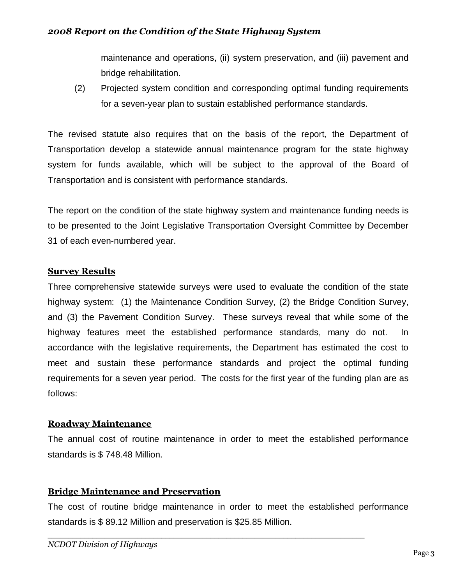maintenance and operations, (ii) system preservation, and (iii) pavement and bridge rehabilitation.

(2) Projected system condition and corresponding optimal funding requirements for a seven-year plan to sustain established performance standards.

The revised statute also requires that on the basis of the report, the Department of Transportation develop a statewide annual maintenance program for the state highway system for funds available, which will be subject to the approval of the Board of Transportation and is consistent with performance standards.

The report on the condition of the state highway system and maintenance funding needs is to be presented to the Joint Legislative Transportation Oversight Committee by December 31 of each even-numbered year.

## **Survey Results**

Three comprehensive statewide surveys were used to evaluate the condition of the state highway system: (1) the Maintenance Condition Survey, (2) the Bridge Condition Survey, and (3) the Pavement Condition Survey. These surveys reveal that while some of the highway features meet the established performance standards, many do not. In accordance with the legislative requirements, the Department has estimated the cost to meet and sustain these performance standards and project the optimal funding requirements for a seven year period. The costs for the first year of the funding plan are as follows:

## **Roadway Maintenance**

The annual cost of routine maintenance in order to meet the established performance standards is \$ 748.48 Million.

## **Bridge Maintenance and Preservation**

The cost of routine bridge maintenance in order to meet the established performance standards is \$ 89.12 Million and preservation is \$25.85 Million.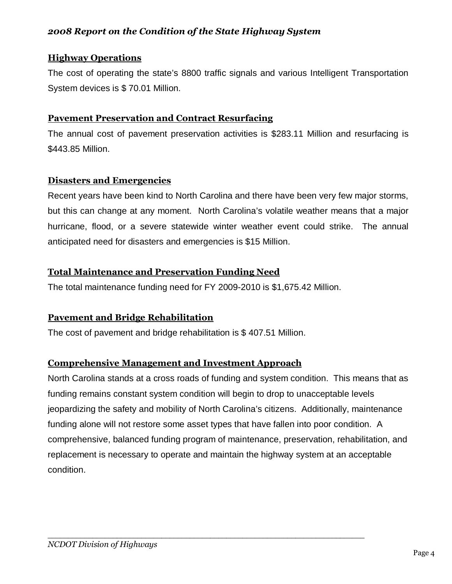## **Highway Operations**

The cost of operating the state's 8800 traffic signals and various Intelligent Transportation System devices is \$ 70.01 Million.

## **Pavement Preservation and Contract Resurfacing**

The annual cost of pavement preservation activities is \$283.11 Million and resurfacing is \$443.85 Million.

## **Disasters and Emergencies**

Recent years have been kind to North Carolina and there have been very few major storms, but this can change at any moment. North Carolina's volatile weather means that a major hurricane, flood, or a severe statewide winter weather event could strike. The annual anticipated need for disasters and emergencies is \$15 Million.

## **Total Maintenance and Preservation Funding Need**

The total maintenance funding need for FY 2009-2010 is \$1,675.42 Million.

## **Pavement and Bridge Rehabilitation**

The cost of pavement and bridge rehabilitation is \$ 407.51 Million.

## **Comprehensive Management and Investment Approach**

North Carolina stands at a cross roads of funding and system condition. This means that as funding remains constant system condition will begin to drop to unacceptable levels jeopardizing the safety and mobility of North Carolina's citizens. Additionally, maintenance funding alone will not restore some asset types that have fallen into poor condition. A comprehensive, balanced funding program of maintenance, preservation, rehabilitation, and replacement is necessary to operate and maintain the highway system at an acceptable condition.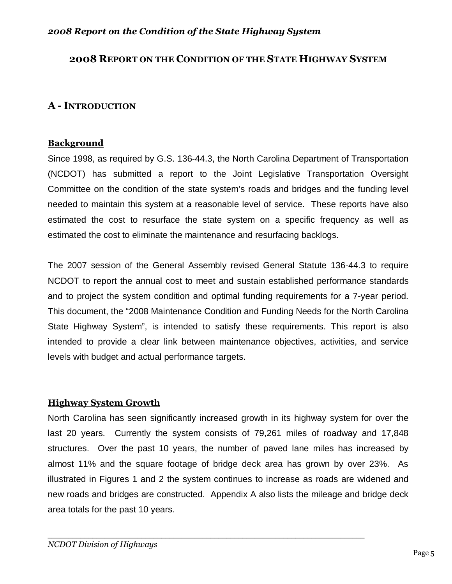## **2008 REPORT ON THE CONDITION OF THE STATE HIGHWAY SYSTEM**

## **A - INTRODUCTION**

#### **Background**

Since 1998, as required by G.S. 136-44.3, the North Carolina Department of Transportation (NCDOT) has submitted a report to the Joint Legislative Transportation Oversight Committee on the condition of the state system's roads and bridges and the funding level needed to maintain this system at a reasonable level of service. These reports have also estimated the cost to resurface the state system on a specific frequency as well as estimated the cost to eliminate the maintenance and resurfacing backlogs.

The 2007 session of the General Assembly revised General Statute 136-44.3 to require NCDOT to report the annual cost to meet and sustain established performance standards and to project the system condition and optimal funding requirements for a 7-year period. This document, the "2008 Maintenance Condition and Funding Needs for the North Carolina State Highway System", is intended to satisfy these requirements. This report is also intended to provide a clear link between maintenance objectives, activities, and service levels with budget and actual performance targets.

## **Highway System Growth**

North Carolina has seen significantly increased growth in its highway system for over the last 20 years. Currently the system consists of 79,261 miles of roadway and 17,848 structures. Over the past 10 years, the number of paved lane miles has increased by almost 11% and the square footage of bridge deck area has grown by over 23%. As illustrated in Figures 1 and 2 the system continues to increase as roads are widened and new roads and bridges are constructed. Appendix A also lists the mileage and bridge deck area totals for the past 10 years.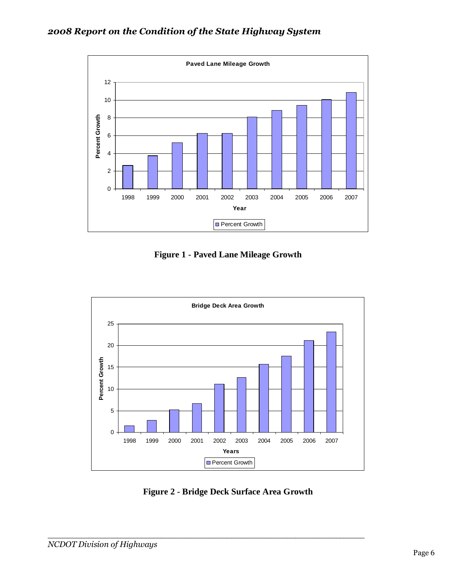

**Figure 1 - Paved Lane Mileage Growth** 



**Figure 2 - Bridge Deck Surface Area Growth**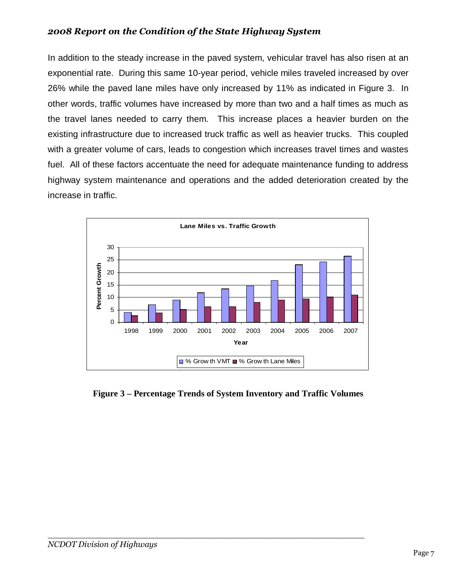In addition to the steady increase in the paved system, vehicular travel has also risen at an exponential rate. During this same 10-year period, vehicle miles traveled increased by over 26% while the paved lane miles have only increased by 11% as indicated in Figure 3. In other words, traffic volumes have increased by more than two and a half times as much as the travel lanes needed to carry them. This increase places a heavier burden on the existing infrastructure due to increased truck traffic as well as heavier trucks. This coupled with a greater volume of cars, leads to congestion which increases travel times and wastes fuel. All of these factors accentuate the need for adequate maintenance funding to address highway system maintenance and operations and the added deterioration created by the increase in traffic.



**Figure 3 – Percentage Trends of System Inventory and Traffic Volumes**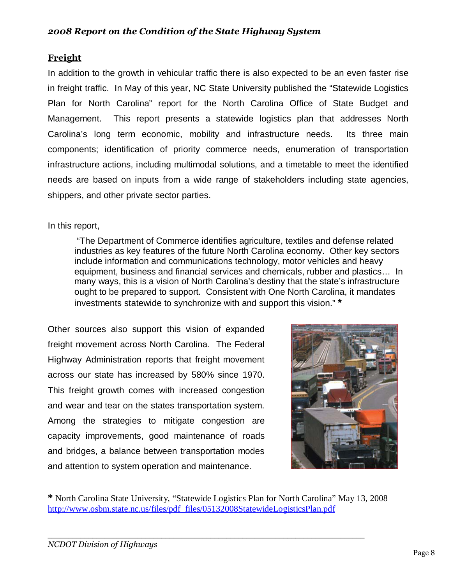## **Freight**

In addition to the growth in vehicular traffic there is also expected to be an even faster rise in freight traffic. In May of this year, NC State University published the "Statewide Logistics Plan for North Carolina" report for the North Carolina Office of State Budget and Management. This report presents a statewide logistics plan that addresses North Carolina's long term economic, mobility and infrastructure needs. Its three main components; identification of priority commerce needs, enumeration of transportation infrastructure actions, including multimodal solutions, and a timetable to meet the identified needs are based on inputs from a wide range of stakeholders including state agencies, shippers, and other private sector parties.

## In this report,

 "The Department of Commerce identifies agriculture, textiles and defense related industries as key features of the future North Carolina economy. Other key sectors include information and communications technology, motor vehicles and heavy equipment, business and financial services and chemicals, rubber and plastics… In many ways, this is a vision of North Carolina's destiny that the state's infrastructure ought to be prepared to support. Consistent with One North Carolina, it mandates investments statewide to synchronize with and support this vision." **\***

Other sources also support this vision of expanded freight movement across North Carolina. The Federal Highway Administration reports that freight movement across our state has increased by 580% since 1970. This freight growth comes with increased congestion and wear and tear on the states transportation system. Among the strategies to mitigate congestion are capacity improvements, good maintenance of roads and bridges, a balance between transportation modes and attention to system operation and maintenance.



**\*** North Carolina State University, "Statewide Logistics Plan for North Carolina" May 13, 2008 [http://www.osbm.state.nc.us/files/pdf\\_files/05132008StatewideLogisticsPlan.pdf](http://www.osbm.state.nc.us/files/pdf_files/05132008StatewideLogisticsPlan.pdf)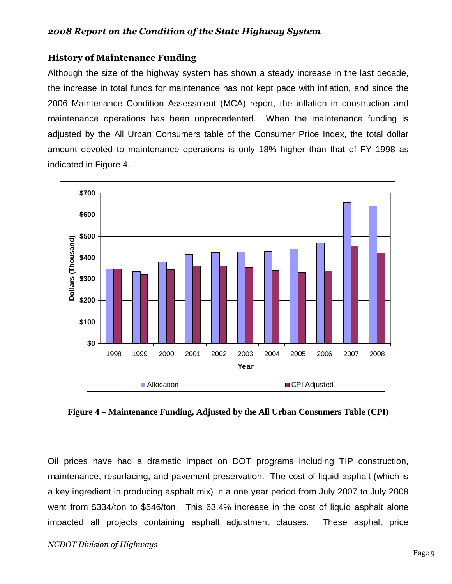## **History of Maintenance Funding**

Although the size of the highway system has shown a steady increase in the last decade, the increase in total funds for maintenance has not kept pace with inflation, and since the 2006 Maintenance Condition Assessment (MCA) report, the inflation in construction and maintenance operations has been unprecedented. When the maintenance funding is adjusted by the All Urban Consumers table of the Consumer Price Index, the total dollar amount devoted to maintenance operations is only 18% higher than that of FY 1998 as indicated in Figure 4.



**Figure 4 – Maintenance Funding, Adjusted by the All Urban Consumers Table (CPI)** 

Oil prices have had a dramatic impact on DOT programs including TIP construction, maintenance, resurfacing, and pavement preservation. The cost of liquid asphalt (which is a key ingredient in producing asphalt mix) in a one year period from July 2007 to July 2008 went from \$334/ton to \$546/ton. This 63.4% increase in the cost of liquid asphalt alone impacted all projects containing asphalt adjustment clauses. These asphalt price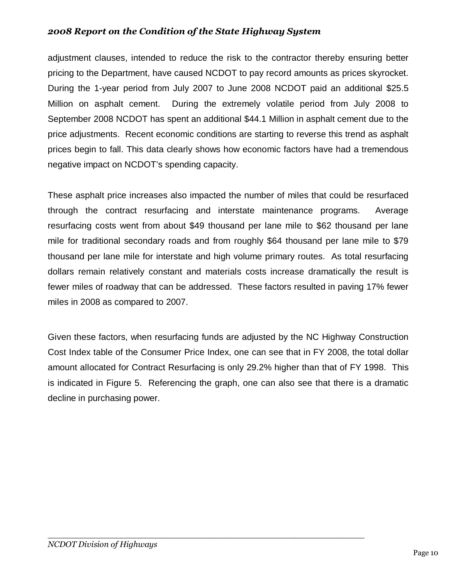adjustment clauses, intended to reduce the risk to the contractor thereby ensuring better pricing to the Department, have caused NCDOT to pay record amounts as prices skyrocket. During the 1-year period from July 2007 to June 2008 NCDOT paid an additional \$25.5 Million on asphalt cement. During the extremely volatile period from July 2008 to September 2008 NCDOT has spent an additional \$44.1 Million in asphalt cement due to the price adjustments. Recent economic conditions are starting to reverse this trend as asphalt prices begin to fall. This data clearly shows how economic factors have had a tremendous negative impact on NCDOT's spending capacity.

These asphalt price increases also impacted the number of miles that could be resurfaced through the contract resurfacing and interstate maintenance programs. Average resurfacing costs went from about \$49 thousand per lane mile to \$62 thousand per lane mile for traditional secondary roads and from roughly \$64 thousand per lane mile to \$79 thousand per lane mile for interstate and high volume primary routes. As total resurfacing dollars remain relatively constant and materials costs increase dramatically the result is fewer miles of roadway that can be addressed. These factors resulted in paving 17% fewer miles in 2008 as compared to 2007.

Given these factors, when resurfacing funds are adjusted by the NC Highway Construction Cost Index table of the Consumer Price Index, one can see that in FY 2008, the total dollar amount allocated for Contract Resurfacing is only 29.2% higher than that of FY 1998. This is indicated in Figure 5. Referencing the graph, one can also see that there is a dramatic decline in purchasing power.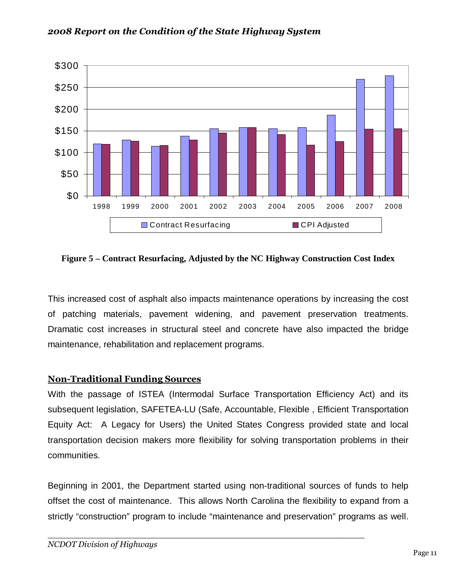

**Figure 5 – Contract Resurfacing, Adjusted by the NC Highway Construction Cost Index** 

This increased cost of asphalt also impacts maintenance operations by increasing the cost of patching materials, pavement widening, and pavement preservation treatments. Dramatic cost increases in structural steel and concrete have also impacted the bridge maintenance, rehabilitation and replacement programs.

## **Non-Traditional Funding Sources**

With the passage of ISTEA (Intermodal Surface Transportation Efficiency Act) and its subsequent legislation, SAFETEA-LU (Safe, Accountable, Flexible , Efficient Transportation Equity Act: A Legacy for Users) the United States Congress provided state and local transportation decision makers more flexibility for solving transportation problems in their communities.

Beginning in 2001, the Department started using non-traditional sources of funds to help offset the cost of maintenance. This allows North Carolina the flexibility to expand from a strictly "construction" program to include "maintenance and preservation" programs as well.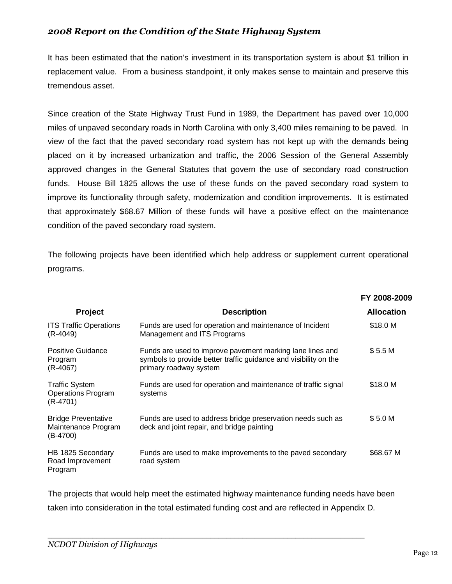It has been estimated that the nation's investment in its transportation system is about \$1 trillion in replacement value. From a business standpoint, it only makes sense to maintain and preserve this tremendous asset.

Since creation of the State Highway Trust Fund in 1989, the Department has paved over 10,000 miles of unpaved secondary roads in North Carolina with only 3,400 miles remaining to be paved. In view of the fact that the paved secondary road system has not kept up with the demands being placed on it by increased urbanization and traffic, the 2006 Session of the General Assembly approved changes in the General Statutes that govern the use of secondary road construction funds. House Bill 1825 allows the use of these funds on the paved secondary road system to improve its functionality through safety, modernization and condition improvements. It is estimated that approximately \$68.67 Million of these funds will have a positive effect on the maintenance condition of the paved secondary road system.

The following projects have been identified which help address or supplement current operational programs.

|                                                                  |                                                                                                                                                         | FY 2008-2009      |
|------------------------------------------------------------------|---------------------------------------------------------------------------------------------------------------------------------------------------------|-------------------|
| <b>Project</b>                                                   | <b>Description</b>                                                                                                                                      | <b>Allocation</b> |
| <b>ITS Traffic Operations</b><br>(R-4049)                        | Funds are used for operation and maintenance of Incident<br>Management and ITS Programs                                                                 | \$18.0 M          |
| <b>Positive Guidance</b><br>Program<br>$(R-4067)$                | Funds are used to improve pavement marking lane lines and<br>symbols to provide better traffic guidance and visibility on the<br>primary roadway system | \$5.5 M           |
| <b>Traffic System</b><br><b>Operations Program</b><br>$(R-4701)$ | Funds are used for operation and maintenance of traffic signal<br>systems                                                                               | \$18.0 M          |
| <b>Bridge Preventative</b><br>Maintenance Program<br>$(B-4700)$  | Funds are used to address bridge preservation needs such as<br>deck and joint repair, and bridge painting                                               | \$5.0 M           |
| HB 1825 Secondary<br>Road Improvement<br>Program                 | Funds are used to make improvements to the paved secondary<br>road system                                                                               | \$68.67 M         |

The projects that would help meet the estimated highway maintenance funding needs have been taken into consideration in the total estimated funding cost and are reflected in Appendix D.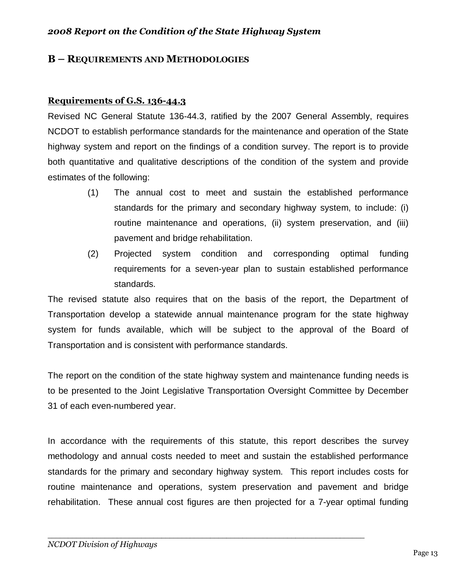#### **B – REQUIREMENTS AND METHODOLOGIES**

#### **Requirements of G.S. 136-44.3**

Revised NC General Statute 136-44.3, ratified by the 2007 General Assembly, requires NCDOT to establish performance standards for the maintenance and operation of the State highway system and report on the findings of a condition survey. The report is to provide both quantitative and qualitative descriptions of the condition of the system and provide estimates of the following:

- (1) The annual cost to meet and sustain the established performance standards for the primary and secondary highway system, to include: (i) routine maintenance and operations, (ii) system preservation, and (iii) pavement and bridge rehabilitation.
- (2) Projected system condition and corresponding optimal funding requirements for a seven-year plan to sustain established performance standards.

The revised statute also requires that on the basis of the report, the Department of Transportation develop a statewide annual maintenance program for the state highway system for funds available, which will be subject to the approval of the Board of Transportation and is consistent with performance standards.

The report on the condition of the state highway system and maintenance funding needs is to be presented to the Joint Legislative Transportation Oversight Committee by December 31 of each even-numbered year.

In accordance with the requirements of this statute, this report describes the survey methodology and annual costs needed to meet and sustain the established performance standards for the primary and secondary highway system. This report includes costs for routine maintenance and operations, system preservation and pavement and bridge rehabilitation. These annual cost figures are then projected for a 7-year optimal funding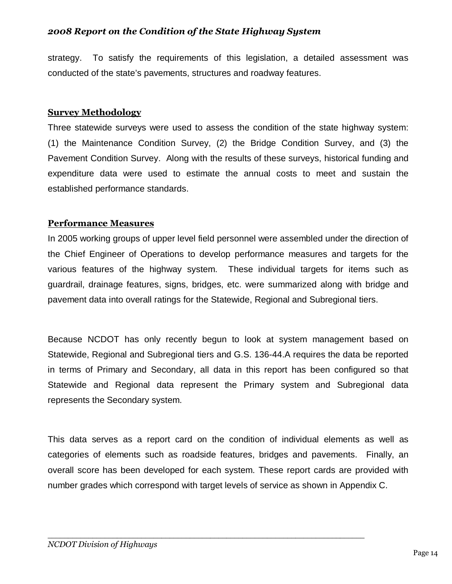strategy. To satisfy the requirements of this legislation, a detailed assessment was conducted of the state's pavements, structures and roadway features.

#### **Survey Methodology**

Three statewide surveys were used to assess the condition of the state highway system: (1) the Maintenance Condition Survey, (2) the Bridge Condition Survey, and (3) the Pavement Condition Survey. Along with the results of these surveys, historical funding and expenditure data were used to estimate the annual costs to meet and sustain the established performance standards.

#### **Performance Measures**

In 2005 working groups of upper level field personnel were assembled under the direction of the Chief Engineer of Operations to develop performance measures and targets for the various features of the highway system. These individual targets for items such as guardrail, drainage features, signs, bridges, etc. were summarized along with bridge and pavement data into overall ratings for the Statewide, Regional and Subregional tiers.

Because NCDOT has only recently begun to look at system management based on Statewide, Regional and Subregional tiers and G.S. 136-44.A requires the data be reported in terms of Primary and Secondary, all data in this report has been configured so that Statewide and Regional data represent the Primary system and Subregional data represents the Secondary system.

This data serves as a report card on the condition of individual elements as well as categories of elements such as roadside features, bridges and pavements. Finally, an overall score has been developed for each system. These report cards are provided with number grades which correspond with target levels of service as shown in Appendix C.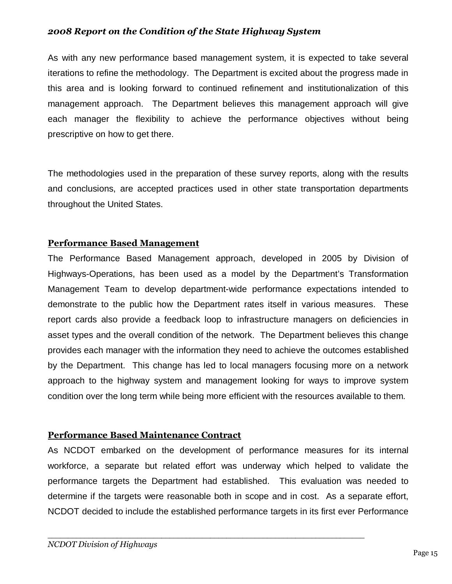As with any new performance based management system, it is expected to take several iterations to refine the methodology. The Department is excited about the progress made in this area and is looking forward to continued refinement and institutionalization of this management approach. The Department believes this management approach will give each manager the flexibility to achieve the performance objectives without being prescriptive on how to get there.

The methodologies used in the preparation of these survey reports, along with the results and conclusions, are accepted practices used in other state transportation departments throughout the United States.

## **Performance Based Management**

The Performance Based Management approach, developed in 2005 by Division of Highways-Operations, has been used as a model by the Department's Transformation Management Team to develop department-wide performance expectations intended to demonstrate to the public how the Department rates itself in various measures. These report cards also provide a feedback loop to infrastructure managers on deficiencies in asset types and the overall condition of the network. The Department believes this change provides each manager with the information they need to achieve the outcomes established by the Department. This change has led to local managers focusing more on a network approach to the highway system and management looking for ways to improve system condition over the long term while being more efficient with the resources available to them.

## **Performance Based Maintenance Contract**

As NCDOT embarked on the development of performance measures for its internal workforce, a separate but related effort was underway which helped to validate the performance targets the Department had established. This evaluation was needed to determine if the targets were reasonable both in scope and in cost. As a separate effort, NCDOT decided to include the established performance targets in its first ever Performance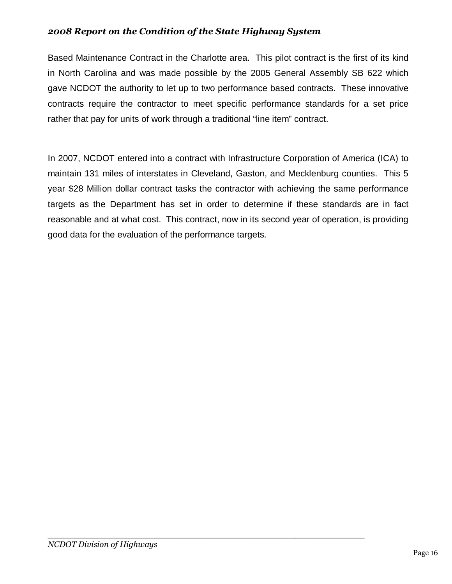Based Maintenance Contract in the Charlotte area. This pilot contract is the first of its kind in North Carolina and was made possible by the 2005 General Assembly SB 622 which gave NCDOT the authority to let up to two performance based contracts. These innovative contracts require the contractor to meet specific performance standards for a set price rather that pay for units of work through a traditional "line item" contract.

In 2007, NCDOT entered into a contract with Infrastructure Corporation of America (ICA) to maintain 131 miles of interstates in Cleveland, Gaston, and Mecklenburg counties. This 5 year \$28 Million dollar contract tasks the contractor with achieving the same performance targets as the Department has set in order to determine if these standards are in fact reasonable and at what cost. This contract, now in its second year of operation, is providing good data for the evaluation of the performance targets.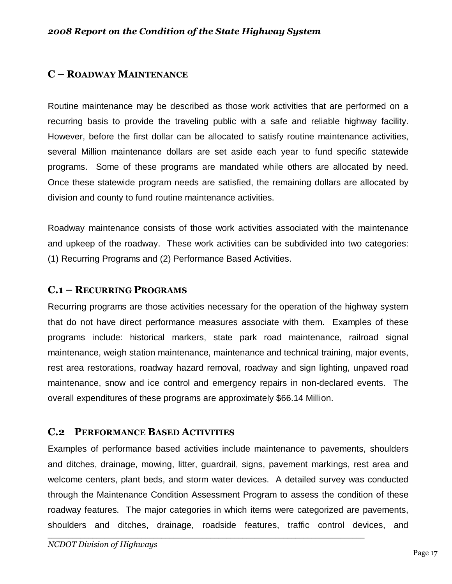## **C – ROADWAY MAINTENANCE**

Routine maintenance may be described as those work activities that are performed on a recurring basis to provide the traveling public with a safe and reliable highway facility. However, before the first dollar can be allocated to satisfy routine maintenance activities, several Million maintenance dollars are set aside each year to fund specific statewide programs. Some of these programs are mandated while others are allocated by need. Once these statewide program needs are satisfied, the remaining dollars are allocated by division and county to fund routine maintenance activities.

Roadway maintenance consists of those work activities associated with the maintenance and upkeep of the roadway. These work activities can be subdivided into two categories: (1) Recurring Programs and (2) Performance Based Activities.

#### **C.1 – RECURRING PROGRAMS**

Recurring programs are those activities necessary for the operation of the highway system that do not have direct performance measures associate with them. Examples of these programs include: historical markers, state park road maintenance, railroad signal maintenance, weigh station maintenance, maintenance and technical training, major events, rest area restorations, roadway hazard removal, roadway and sign lighting, unpaved road maintenance, snow and ice control and emergency repairs in non-declared events. The overall expenditures of these programs are approximately \$66.14 Million.

## **C.2 PERFORMANCE BASED ACTIVITIES**

Examples of performance based activities include maintenance to pavements, shoulders and ditches, drainage, mowing, litter, guardrail, signs, pavement markings, rest area and welcome centers, plant beds, and storm water devices. A detailed survey was conducted through the Maintenance Condition Assessment Program to assess the condition of these roadway features. The major categories in which items were categorized are pavements, shoulders and ditches, drainage, roadside features, traffic control devices, and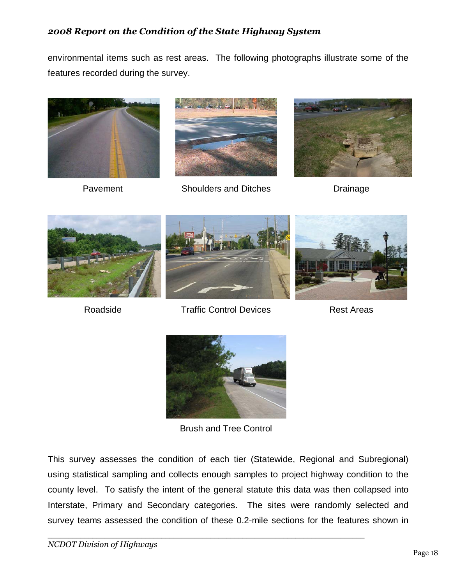environmental items such as rest areas. The following photographs illustrate some of the features recorded during the survey.





Pavement Shoulders and Ditches Drainage









Roadside **Traffic Control Devices** Rest Areas



Brush and Tree Control

This survey assesses the condition of each tier (Statewide, Regional and Subregional) using statistical sampling and collects enough samples to project highway condition to the county level. To satisfy the intent of the general statute this data was then collapsed into Interstate, Primary and Secondary categories. The sites were randomly selected and survey teams assessed the condition of these 0.2-mile sections for the features shown in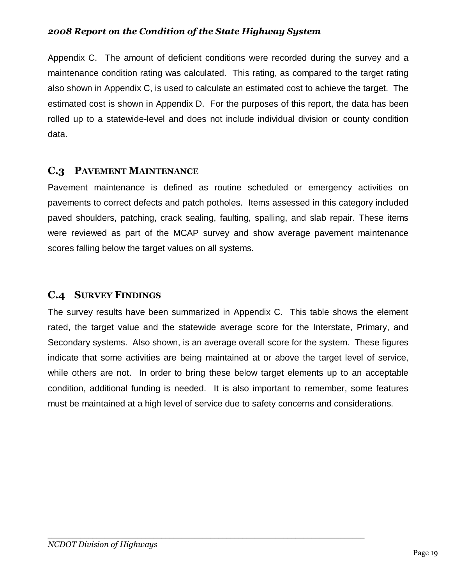Appendix C. The amount of deficient conditions were recorded during the survey and a maintenance condition rating was calculated. This rating, as compared to the target rating also shown in Appendix C, is used to calculate an estimated cost to achieve the target. The estimated cost is shown in Appendix D. For the purposes of this report, the data has been rolled up to a statewide-level and does not include individual division or county condition data.

## **C.3 PAVEMENT MAINTENANCE**

Pavement maintenance is defined as routine scheduled or emergency activities on pavements to correct defects and patch potholes. Items assessed in this category included paved shoulders, patching, crack sealing, faulting, spalling, and slab repair. These items were reviewed as part of the MCAP survey and show average pavement maintenance scores falling below the target values on all systems.

# **C.4 SURVEY FINDINGS**

The survey results have been summarized in Appendix C. This table shows the element rated, the target value and the statewide average score for the Interstate, Primary, and Secondary systems. Also shown, is an average overall score for the system. These figures indicate that some activities are being maintained at or above the target level of service, while others are not. In order to bring these below target elements up to an acceptable condition, additional funding is needed. It is also important to remember, some features must be maintained at a high level of service due to safety concerns and considerations.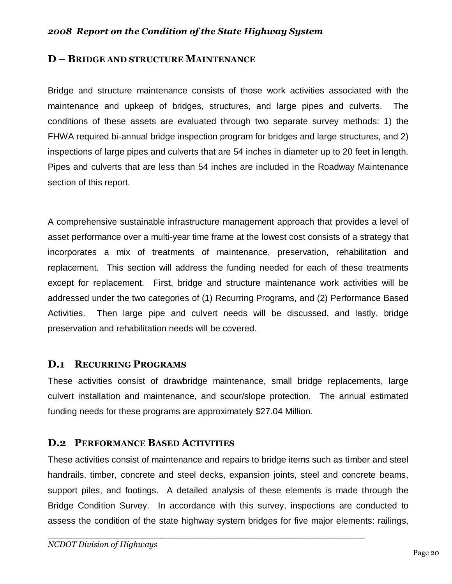#### **D – BRIDGE AND STRUCTURE MAINTENANCE**

Bridge and structure maintenance consists of those work activities associated with the maintenance and upkeep of bridges, structures, and large pipes and culverts. The conditions of these assets are evaluated through two separate survey methods: 1) the FHWA required bi-annual bridge inspection program for bridges and large structures, and 2) inspections of large pipes and culverts that are 54 inches in diameter up to 20 feet in length. Pipes and culverts that are less than 54 inches are included in the Roadway Maintenance section of this report.

A comprehensive sustainable infrastructure management approach that provides a level of asset performance over a multi-year time frame at the lowest cost consists of a strategy that incorporates a mix of treatments of maintenance, preservation, rehabilitation and replacement. This section will address the funding needed for each of these treatments except for replacement. First, bridge and structure maintenance work activities will be addressed under the two categories of (1) Recurring Programs, and (2) Performance Based Activities. Then large pipe and culvert needs will be discussed, and lastly, bridge preservation and rehabilitation needs will be covered.

## **D.1 RECURRING PROGRAMS**

These activities consist of drawbridge maintenance, small bridge replacements, large culvert installation and maintenance, and scour/slope protection. The annual estimated funding needs for these programs are approximately \$27.04 Million.

## **D.2 PERFORMANCE BASED ACTIVITIES**

These activities consist of maintenance and repairs to bridge items such as timber and steel handrails, timber, concrete and steel decks, expansion joints, steel and concrete beams, support piles, and footings. A detailed analysis of these elements is made through the Bridge Condition Survey. In accordance with this survey, inspections are conducted to assess the condition of the state highway system bridges for five major elements: railings,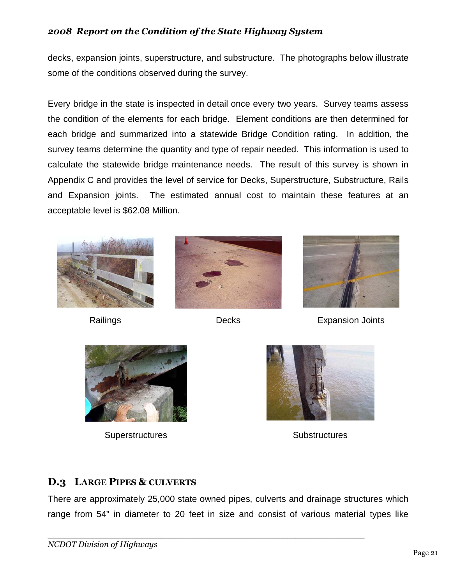decks, expansion joints, superstructure, and substructure. The photographs below illustrate some of the conditions observed during the survey.

Every bridge in the state is inspected in detail once every two years. Survey teams assess the condition of the elements for each bridge. Element conditions are then determined for each bridge and summarized into a statewide Bridge Condition rating. In addition, the survey teams determine the quantity and type of repair needed. This information is used to calculate the statewide bridge maintenance needs. The result of this survey is shown in Appendix C and provides the level of service for Decks, Superstructure, Substructure, Rails and Expansion joints. The estimated annual cost to maintain these features at an acceptable level is \$62.08 Million.







Railings **Decks** Decks Expansion Joints



Superstructures Substructures Substructures



# **D.3 LARGE PIPES & CULVERTS**

There are approximately 25,000 state owned pipes, culverts and drainage structures which range from 54" in diameter to 20 feet in size and consist of various material types like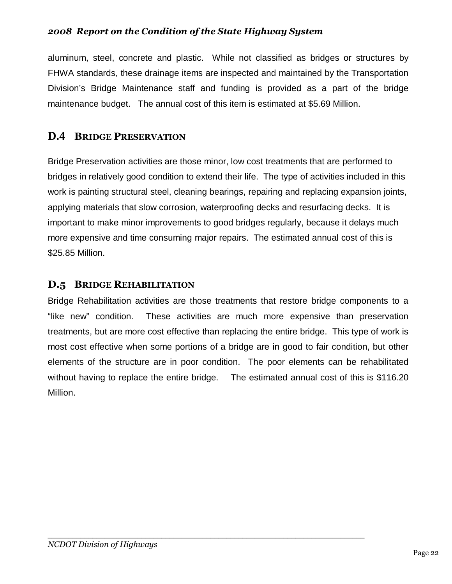aluminum, steel, concrete and plastic. While not classified as bridges or structures by FHWA standards, these drainage items are inspected and maintained by the Transportation Division's Bridge Maintenance staff and funding is provided as a part of the bridge maintenance budget. The annual cost of this item is estimated at \$5.69 Million.

# **D.4 BRIDGE PRESERVATION**

Bridge Preservation activities are those minor, low cost treatments that are performed to bridges in relatively good condition to extend their life. The type of activities included in this work is painting structural steel, cleaning bearings, repairing and replacing expansion joints, applying materials that slow corrosion, waterproofing decks and resurfacing decks. It is important to make minor improvements to good bridges regularly, because it delays much more expensive and time consuming major repairs. The estimated annual cost of this is \$25.85 Million.

## **D.5 BRIDGE REHABILITATION**

Bridge Rehabilitation activities are those treatments that restore bridge components to a "like new" condition. These activities are much more expensive than preservation treatments, but are more cost effective than replacing the entire bridge. This type of work is most cost effective when some portions of a bridge are in good to fair condition, but other elements of the structure are in poor condition. The poor elements can be rehabilitated without having to replace the entire bridge. The estimated annual cost of this is \$116.20 Million.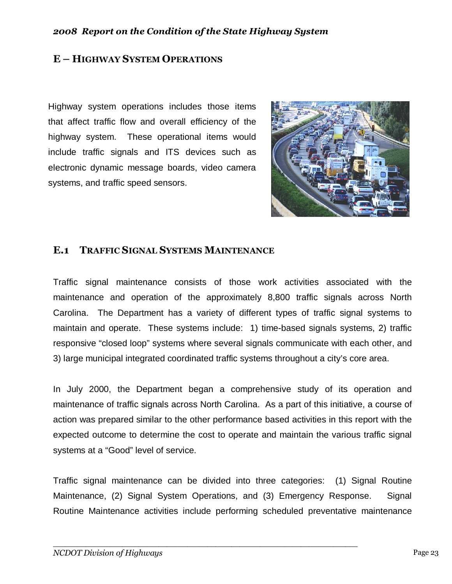## **E – HIGHWAY SYSTEM OPERATIONS**

Highway system operations includes those items that affect traffic flow and overall efficiency of the highway system. These operational items would include traffic signals and ITS devices such as electronic dynamic message boards, video camera systems, and traffic speed sensors.



## **E.1 TRAFFIC SIGNAL SYSTEMS MAINTENANCE**

Traffic signal maintenance consists of those work activities associated with the maintenance and operation of the approximately 8,800 traffic signals across North Carolina. The Department has a variety of different types of traffic signal systems to maintain and operate. These systems include: 1) time-based signals systems, 2) traffic responsive "closed loop" systems where several signals communicate with each other, and 3) large municipal integrated coordinated traffic systems throughout a city's core area.

In July 2000, the Department began a comprehensive study of its operation and maintenance of traffic signals across North Carolina. As a part of this initiative, a course of action was prepared similar to the other performance based activities in this report with the expected outcome to determine the cost to operate and maintain the various traffic signal systems at a "Good" level of service.

Traffic signal maintenance can be divided into three categories: (1) Signal Routine Maintenance, (2) Signal System Operations, and (3) Emergency Response. Signal Routine Maintenance activities include performing scheduled preventative maintenance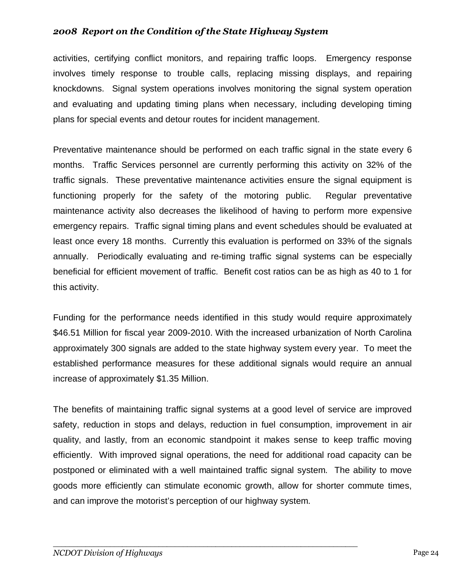activities, certifying conflict monitors, and repairing traffic loops. Emergency response involves timely response to trouble calls, replacing missing displays, and repairing knockdowns. Signal system operations involves monitoring the signal system operation and evaluating and updating timing plans when necessary, including developing timing plans for special events and detour routes for incident management.

Preventative maintenance should be performed on each traffic signal in the state every 6 months. Traffic Services personnel are currently performing this activity on 32% of the traffic signals. These preventative maintenance activities ensure the signal equipment is functioning properly for the safety of the motoring public. Regular preventative maintenance activity also decreases the likelihood of having to perform more expensive emergency repairs. Traffic signal timing plans and event schedules should be evaluated at least once every 18 months. Currently this evaluation is performed on 33% of the signals annually. Periodically evaluating and re-timing traffic signal systems can be especially beneficial for efficient movement of traffic. Benefit cost ratios can be as high as 40 to 1 for this activity.

Funding for the performance needs identified in this study would require approximately \$46.51 Million for fiscal year 2009-2010. With the increased urbanization of North Carolina approximately 300 signals are added to the state highway system every year. To meet the established performance measures for these additional signals would require an annual increase of approximately \$1.35 Million.

The benefits of maintaining traffic signal systems at a good level of service are improved safety, reduction in stops and delays, reduction in fuel consumption, improvement in air quality, and lastly, from an economic standpoint it makes sense to keep traffic moving efficiently. With improved signal operations, the need for additional road capacity can be postponed or eliminated with a well maintained traffic signal system. The ability to move goods more efficiently can stimulate economic growth, allow for shorter commute times, and can improve the motorist's perception of our highway system.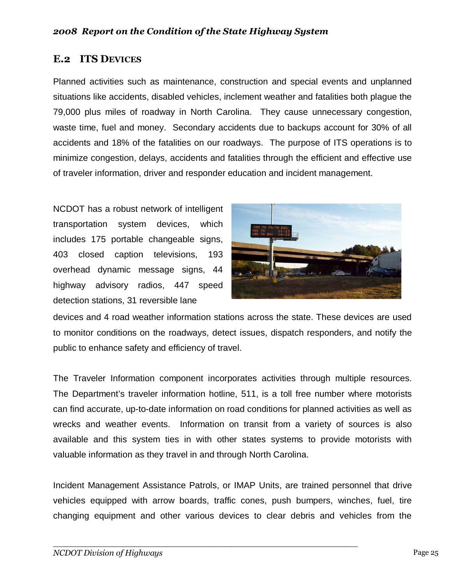## **E.2 ITS DEVICES**

Planned activities such as maintenance, construction and special events and unplanned situations like accidents, disabled vehicles, inclement weather and fatalities both plague the 79,000 plus miles of roadway in North Carolina. They cause unnecessary congestion, waste time, fuel and money. Secondary accidents due to backups account for 30% of all accidents and 18% of the fatalities on our roadways. The purpose of ITS operations is to minimize congestion, delays, accidents and fatalities through the efficient and effective use of traveler information, driver and responder education and incident management.

NCDOT has a robust network of intelligent transportation system devices, which includes 175 portable changeable signs, 403 closed caption televisions, 193 overhead dynamic message signs, 44 highway advisory radios, 447 speed detection stations, 31 reversible lane



devices and 4 road weather information stations across the state. These devices are used to monitor conditions on the roadways, detect issues, dispatch responders, and notify the public to enhance safety and efficiency of travel.

The Traveler Information component incorporates activities through multiple resources. The Department's traveler information hotline, 511, is a toll free number where motorists can find accurate, up-to-date information on road conditions for planned activities as well as wrecks and weather events. Information on transit from a variety of sources is also available and this system ties in with other states systems to provide motorists with valuable information as they travel in and through North Carolina.

Incident Management Assistance Patrols, or IMAP Units, are trained personnel that drive vehicles equipped with arrow boards, traffic cones, push bumpers, winches, fuel, tire changing equipment and other various devices to clear debris and vehicles from the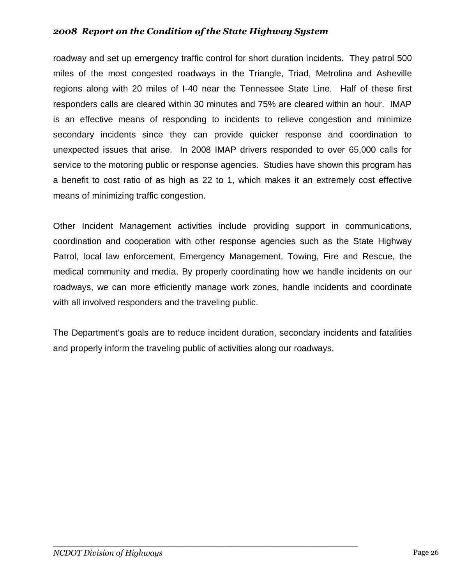roadway and set up emergency traffic control for short duration incidents. They patrol 500 miles of the most congested roadways in the Triangle, Triad, Metrolina and Asheville regions along with 20 miles of I-40 near the Tennessee State Line. Half of these first responders calls are cleared within 30 minutes and 75% are cleared within an hour. IMAP is an effective means of responding to incidents to relieve congestion and minimize secondary incidents since they can provide quicker response and coordination to unexpected issues that arise. In 2008 IMAP drivers responded to over 65,000 calls for service to the motoring public or response agencies. Studies have shown this program has a benefit to cost ratio of as high as 22 to 1, which makes it an extremely cost effective means of minimizing traffic congestion.

Other Incident Management activities include providing support in communications, coordination and cooperation with other response agencies such as the State Highway Patrol, local law enforcement, Emergency Management, Towing, Fire and Rescue, the medical community and media. By properly coordinating how we handle incidents on our roadways, we can more efficiently manage work zones, handle incidents and coordinate with all involved responders and the traveling public.

The Department's goals are to reduce incident duration, secondary incidents and fatalities and properly inform the traveling public of activities along our roadways.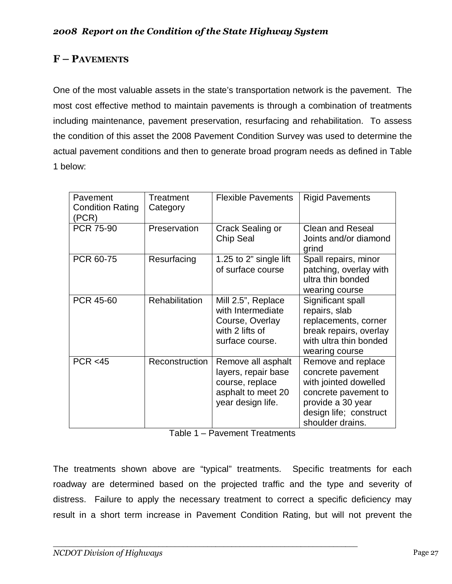## **F – PAVEMENTS**

One of the most valuable assets in the state's transportation network is the pavement. The most cost effective method to maintain pavements is through a combination of treatments including maintenance, pavement preservation, resurfacing and rehabilitation. To assess the condition of this asset the 2008 Pavement Condition Survey was used to determine the actual pavement conditions and then to generate broad program needs as defined in Table 1 below:

| Pavement<br><b>Condition Rating</b><br>(PCR) | Treatment<br>Category | <b>Flexible Pavements</b>                                                                               | <b>Rigid Pavements</b>                                                                                                                                      |
|----------------------------------------------|-----------------------|---------------------------------------------------------------------------------------------------------|-------------------------------------------------------------------------------------------------------------------------------------------------------------|
| <b>PCR 75-90</b>                             | Preservation          | Crack Sealing or<br><b>Chip Seal</b>                                                                    | <b>Clean and Reseal</b><br>Joints and/or diamond<br>grind                                                                                                   |
| PCR 60-75                                    | Resurfacing           | 1.25 to 2" single lift<br>of surface course                                                             | Spall repairs, minor<br>patching, overlay with<br>ultra thin bonded<br>wearing course                                                                       |
| PCR 45-60                                    | <b>Rehabilitation</b> | Mill 2.5", Replace<br>with Intermediate<br>Course, Overlay<br>with 2 lifts of<br>surface course.        | Significant spall<br>repairs, slab<br>replacements, corner<br>break repairs, overlay<br>with ultra thin bonded<br>wearing course                            |
| PCR < 45                                     | Reconstruction        | Remove all asphalt<br>layers, repair base<br>course, replace<br>asphalt to meet 20<br>year design life. | Remove and replace<br>concrete pavement<br>with jointed dowelled<br>concrete pavement to<br>provide a 30 year<br>design life; construct<br>shoulder drains. |

| Table 1 – Pavement Treatments |  |  |  |
|-------------------------------|--|--|--|
|-------------------------------|--|--|--|

The treatments shown above are "typical" treatments. Specific treatments for each roadway are determined based on the projected traffic and the type and severity of distress. Failure to apply the necessary treatment to correct a specific deficiency may result in a short term increase in Pavement Condition Rating, but will not prevent the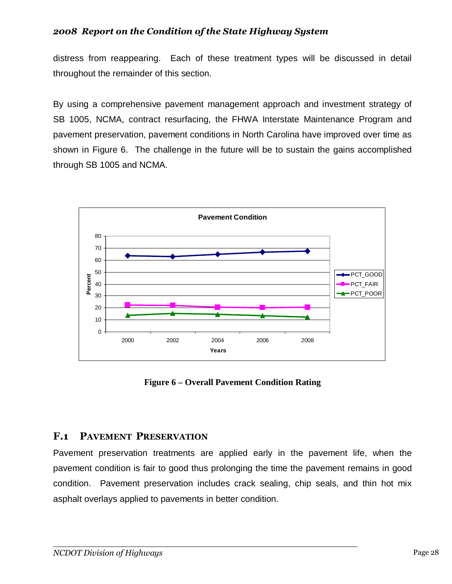distress from reappearing. Each of these treatment types will be discussed in detail throughout the remainder of this section.

By using a comprehensive pavement management approach and investment strategy of SB 1005, NCMA, contract resurfacing, the FHWA Interstate Maintenance Program and pavement preservation, pavement conditions in North Carolina have improved over time as shown in Figure 6. The challenge in the future will be to sustain the gains accomplished through SB 1005 and NCMA.



**Figure 6 – Overall Pavement Condition Rating** 

## **F.1 PAVEMENT PRESERVATION**

Pavement preservation treatments are applied early in the pavement life, when the pavement condition is fair to good thus prolonging the time the pavement remains in good condition. Pavement preservation includes crack sealing, chip seals, and thin hot mix asphalt overlays applied to pavements in better condition.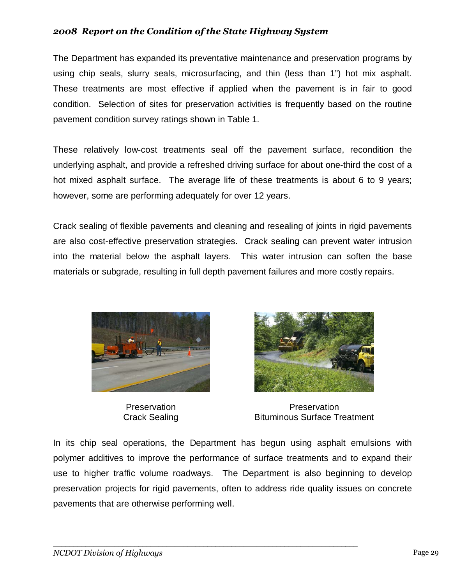The Department has expanded its preventative maintenance and preservation programs by using chip seals, slurry seals, microsurfacing, and thin (less than 1") hot mix asphalt. These treatments are most effective if applied when the pavement is in fair to good condition. Selection of sites for preservation activities is frequently based on the routine pavement condition survey ratings shown in Table 1.

These relatively low-cost treatments seal off the pavement surface, recondition the underlying asphalt, and provide a refreshed driving surface for about one-third the cost of a hot mixed asphalt surface. The average life of these treatments is about 6 to 9 years; however, some are performing adequately for over 12 years.

Crack sealing of flexible pavements and cleaning and resealing of joints in rigid pavements are also cost-effective preservation strategies. Crack sealing can prevent water intrusion into the material below the asphalt layers. This water intrusion can soften the base materials or subgrade, resulting in full depth pavement failures and more costly repairs.



**Preservation** Crack Sealing



**Preservation** Bituminous Surface Treatment

In its chip seal operations, the Department has begun using asphalt emulsions with polymer additives to improve the performance of surface treatments and to expand their use to higher traffic volume roadways. The Department is also beginning to develop preservation projects for rigid pavements, often to address ride quality issues on concrete pavements that are otherwise performing well.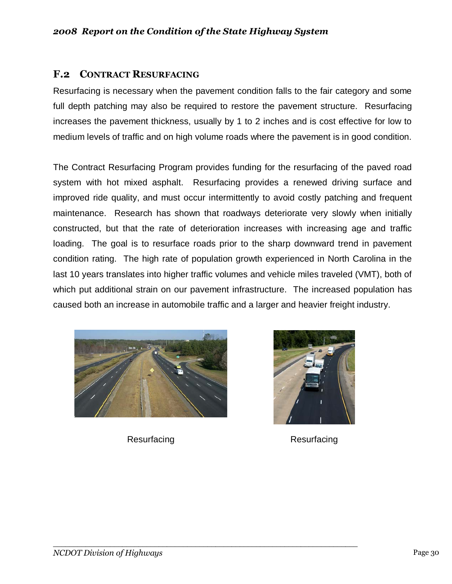## **F.2 CONTRACT RESURFACING**

Resurfacing is necessary when the pavement condition falls to the fair category and some full depth patching may also be required to restore the pavement structure. Resurfacing increases the pavement thickness, usually by 1 to 2 inches and is cost effective for low to medium levels of traffic and on high volume roads where the pavement is in good condition.

The Contract Resurfacing Program provides funding for the resurfacing of the paved road system with hot mixed asphalt. Resurfacing provides a renewed driving surface and improved ride quality, and must occur intermittently to avoid costly patching and frequent maintenance. Research has shown that roadways deteriorate very slowly when initially constructed, but that the rate of deterioration increases with increasing age and traffic loading. The goal is to resurface roads prior to the sharp downward trend in pavement condition rating. The high rate of population growth experienced in North Carolina in the last 10 years translates into higher traffic volumes and vehicle miles traveled (VMT), both of which put additional strain on our pavement infrastructure. The increased population has caused both an increase in automobile traffic and a larger and heavier freight industry.



*\_\_\_\_\_\_\_\_\_\_\_\_\_\_\_\_\_\_\_\_\_\_\_\_\_\_\_\_\_\_\_\_\_\_\_\_\_\_\_\_\_\_\_\_\_\_\_\_\_\_\_\_\_\_\_\_\_\_\_\_\_\_\_\_\_\_\_\_\_\_\_\_\_\_\_* 



Resurfacing Resurfacing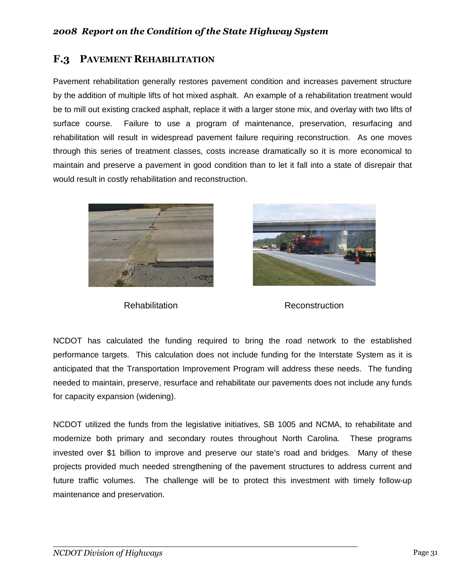## **F.3 PAVEMENT REHABILITATION**

Pavement rehabilitation generally restores pavement condition and increases pavement structure by the addition of multiple lifts of hot mixed asphalt. An example of a rehabilitation treatment would be to mill out existing cracked asphalt, replace it with a larger stone mix, and overlay with two lifts of surface course. Failure to use a program of maintenance, preservation, resurfacing and rehabilitation will result in widespread pavement failure requiring reconstruction. As one moves through this series of treatment classes, costs increase dramatically so it is more economical to maintain and preserve a pavement in good condition than to let it fall into a state of disrepair that would result in costly rehabilitation and reconstruction.





Rehabilitation **Reconstruction** 

NCDOT has calculated the funding required to bring the road network to the established performance targets. This calculation does not include funding for the Interstate System as it is anticipated that the Transportation Improvement Program will address these needs. The funding needed to maintain, preserve, resurface and rehabilitate our pavements does not include any funds for capacity expansion (widening).

NCDOT utilized the funds from the legislative initiatives, SB 1005 and NCMA, to rehabilitate and modernize both primary and secondary routes throughout North Carolina. These programs invested over \$1 billion to improve and preserve our state's road and bridges. Many of these projects provided much needed strengthening of the pavement structures to address current and future traffic volumes. The challenge will be to protect this investment with timely follow-up maintenance and preservation.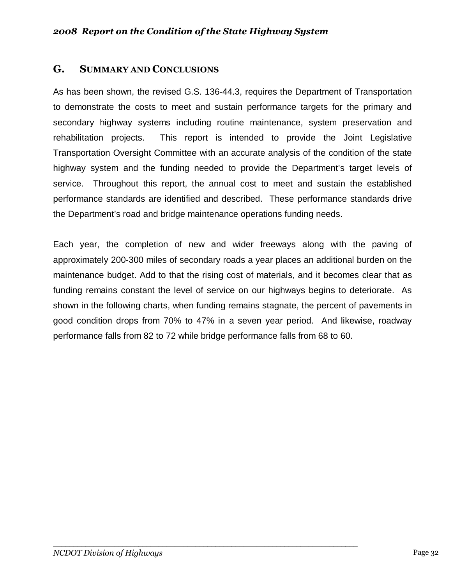## **G. SUMMARY AND CONCLUSIONS**

As has been shown, the revised G.S. 136-44.3, requires the Department of Transportation to demonstrate the costs to meet and sustain performance targets for the primary and secondary highway systems including routine maintenance, system preservation and rehabilitation projects. This report is intended to provide the Joint Legislative Transportation Oversight Committee with an accurate analysis of the condition of the state highway system and the funding needed to provide the Department's target levels of service. Throughout this report, the annual cost to meet and sustain the established performance standards are identified and described. These performance standards drive the Department's road and bridge maintenance operations funding needs.

Each year, the completion of new and wider freeways along with the paving of approximately 200-300 miles of secondary roads a year places an additional burden on the maintenance budget. Add to that the rising cost of materials, and it becomes clear that as funding remains constant the level of service on our highways begins to deteriorate. As shown in the following charts, when funding remains stagnate, the percent of pavements in good condition drops from 70% to 47% in a seven year period. And likewise, roadway performance falls from 82 to 72 while bridge performance falls from 68 to 60.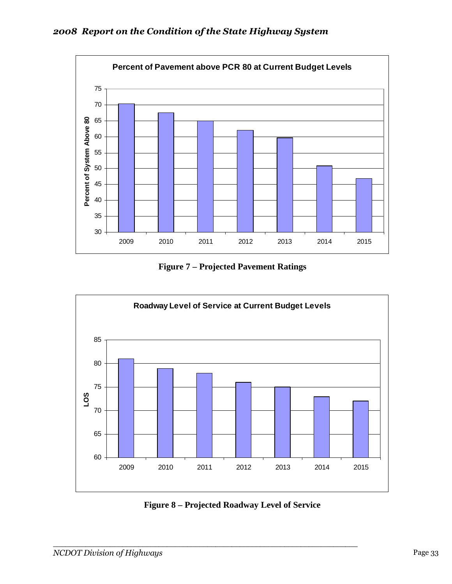

**Figure 7 – Projected Pavement Ratings** 



**Figure 8 – Projected Roadway Level of Service**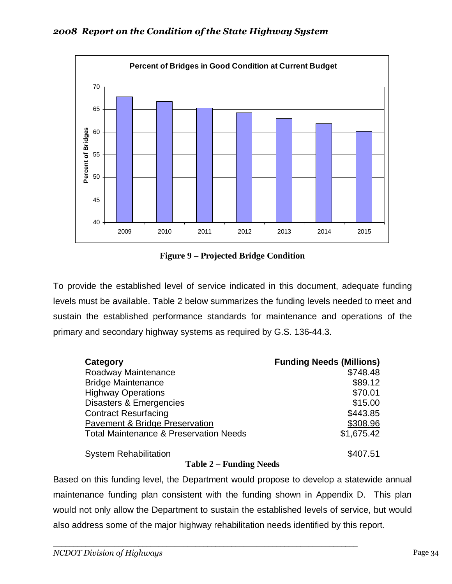

**Figure 9 – Projected Bridge Condition** 

To provide the established level of service indicated in this document, adequate funding levels must be available. Table 2 below summarizes the funding levels needed to meet and sustain the established performance standards for maintenance and operations of the primary and secondary highway systems as required by G.S. 136-44.3.

| Category                                                 | <b>Funding Needs (Millions)</b> |
|----------------------------------------------------------|---------------------------------|
| Roadway Maintenance                                      | \$748.48                        |
| <b>Bridge Maintenance</b>                                | \$89.12                         |
| <b>Highway Operations</b>                                | \$70.01                         |
| Disasters & Emergencies                                  | \$15.00                         |
| <b>Contract Resurfacing</b>                              | \$443.85                        |
| <b>Pavement &amp; Bridge Preservation</b>                | \$308.96                        |
| <b>Total Maintenance &amp; Preservation Needs</b>        | \$1,675.42                      |
| <b>System Rehabilitation</b><br>$\bullet$ $\blacksquare$ | \$407.51                        |

## **Table 2 – Funding Needs**

Based on this funding level, the Department would propose to develop a statewide annual maintenance funding plan consistent with the funding shown in Appendix D. This plan would not only allow the Department to sustain the established levels of service, but would also address some of the major highway rehabilitation needs identified by this report.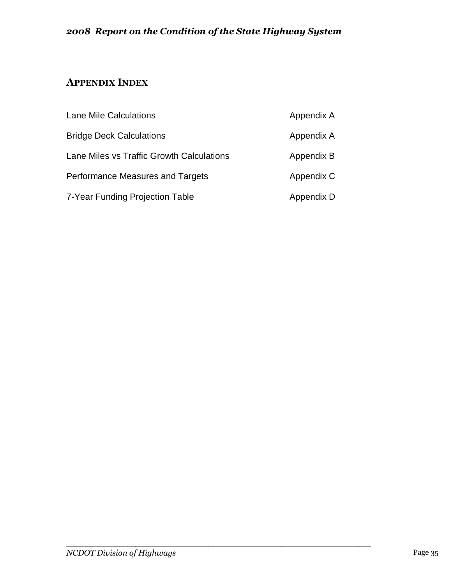# **APPENDIX INDEX**

| <b>Lane Mile Calculations</b>             | Appendix A |
|-------------------------------------------|------------|
| <b>Bridge Deck Calculations</b>           | Appendix A |
| Lane Miles vs Traffic Growth Calculations | Appendix B |
| Performance Measures and Targets          | Appendix C |
| 7-Year Funding Projection Table           | Appendix D |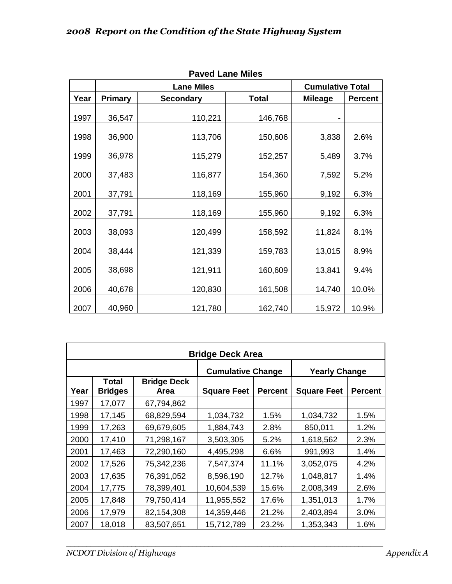| LAVEN LAHE MILES |                                              |                  |              |                |                |  |  |  |  |  |  |  |  |
|------------------|----------------------------------------------|------------------|--------------|----------------|----------------|--|--|--|--|--|--|--|--|
|                  | <b>Lane Miles</b><br><b>Cumulative Total</b> |                  |              |                |                |  |  |  |  |  |  |  |  |
| Year             | <b>Primary</b>                               | <b>Secondary</b> | <b>Total</b> | <b>Mileage</b> | <b>Percent</b> |  |  |  |  |  |  |  |  |
| 1997             | 36,547                                       | 110,221          | 146,768      |                |                |  |  |  |  |  |  |  |  |
| 1998             | 36,900                                       | 113,706          | 150,606      | 3,838          | 2.6%           |  |  |  |  |  |  |  |  |
| 1999             | 36,978                                       | 115,279          | 152,257      | 5,489          | 3.7%           |  |  |  |  |  |  |  |  |
| 2000             | 37,483                                       | 116,877          | 154,360      | 7,592          | 5.2%           |  |  |  |  |  |  |  |  |
| 2001             | 37,791                                       | 118,169          | 155,960      | 9,192          | 6.3%           |  |  |  |  |  |  |  |  |
| 2002             | 37,791                                       | 118,169          | 155,960      | 9,192          | 6.3%           |  |  |  |  |  |  |  |  |
| 2003             | 38,093                                       | 120,499          | 158,592      | 11,824         | 8.1%           |  |  |  |  |  |  |  |  |
| 2004             | 38,444                                       | 121,339          | 159,783      | 13,015         | 8.9%           |  |  |  |  |  |  |  |  |
| 2005             | 38,698                                       | 121,911          | 160,609      | 13,841         | 9.4%           |  |  |  |  |  |  |  |  |
| 2006             | 40,678                                       | 120,830          | 161,508      | 14,740         | 10.0%          |  |  |  |  |  |  |  |  |
| 2007             | 40,960                                       | 121,780          | 162,740      | 15,972         | 10.9%          |  |  |  |  |  |  |  |  |

**Paved Lane Miles** 

| <b>Bridge Deck Area</b> |                         |                            |                          |                |                      |                |  |  |  |  |  |
|-------------------------|-------------------------|----------------------------|--------------------------|----------------|----------------------|----------------|--|--|--|--|--|
|                         |                         |                            | <b>Cumulative Change</b> |                | <b>Yearly Change</b> |                |  |  |  |  |  |
| Year                    | Total<br><b>Bridges</b> | <b>Bridge Deck</b><br>Area | <b>Square Feet</b>       | <b>Percent</b> | <b>Square Feet</b>   | <b>Percent</b> |  |  |  |  |  |
| 1997                    | 17,077                  | 67,794,862                 |                          |                |                      |                |  |  |  |  |  |
| 1998                    | 17,145                  | 68,829,594                 | 1,034,732                | 1.5%           | 1,034,732            | 1.5%           |  |  |  |  |  |
| 1999                    | 17,263                  | 69,679,605                 | 1,884,743                | 2.8%           | 850,011              | 1.2%           |  |  |  |  |  |
| 2000                    | 17,410                  | 71,298,167                 | 3,503,305                | 5.2%           | 1,618,562            | 2.3%           |  |  |  |  |  |
| 2001                    | 17,463                  | 72,290,160                 | 4,495,298                | 6.6%           | 991,993              | 1.4%           |  |  |  |  |  |
| 2002                    | 17,526                  | 75,342,236                 | 7,547,374                | 11.1%          | 3,052,075            | 4.2%           |  |  |  |  |  |
| 2003                    | 17,635                  | 76,391,052                 | 8,596,190                | 12.7%          | 1,048,817            | 1.4%           |  |  |  |  |  |
| 2004                    | 17,775                  | 78,399,401                 | 10,604,539               | 15.6%          | 2,008,349            | 2.6%           |  |  |  |  |  |
| 2005                    | 17,848                  | 79,750,414                 | 11,955,552               | 17.6%          | 1,351,013            | 1.7%           |  |  |  |  |  |
| 2006                    | 17,979                  | 82,154,308                 | 14,359,446               | 21.2%          | 2,403,894            | 3.0%           |  |  |  |  |  |
| 2007                    | 18,018                  | 83,507,651                 | 15,712,789               | 23.2%          | 1,353,343            | 1.6%           |  |  |  |  |  |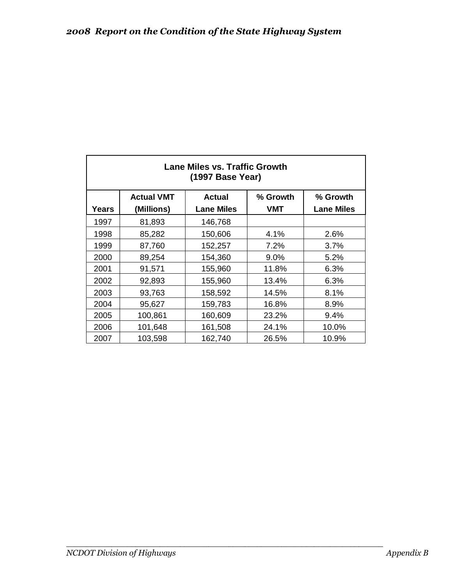| Lane Miles vs. Traffic Growth<br>(1997 Base Year) |                   |                   |          |                   |  |  |  |  |  |  |
|---------------------------------------------------|-------------------|-------------------|----------|-------------------|--|--|--|--|--|--|
|                                                   | <b>Actual VMT</b> | <b>Actual</b>     | % Growth | % Growth          |  |  |  |  |  |  |
| Years                                             | (Millions)        | <b>Lane Miles</b> | VMT      | <b>Lane Miles</b> |  |  |  |  |  |  |
| 1997                                              | 81,893            | 146,768           |          |                   |  |  |  |  |  |  |
| 1998                                              | 85,282            | 150,606           | 4.1%     | 2.6%              |  |  |  |  |  |  |
| 1999                                              | 87,760            | 152,257           | 7.2%     | 3.7%              |  |  |  |  |  |  |
| 2000                                              | 89,254            | 154,360           | 9.0%     | 5.2%              |  |  |  |  |  |  |
| 2001                                              | 91,571            | 155,960           | 11.8%    | 6.3%              |  |  |  |  |  |  |
| 2002                                              | 92,893            | 155,960           | 13.4%    | 6.3%              |  |  |  |  |  |  |
| 2003                                              | 93,763            | 158,592           | 14.5%    | 8.1%              |  |  |  |  |  |  |
| 2004                                              | 95,627            | 159,783           | 16.8%    | 8.9%              |  |  |  |  |  |  |
| 2005                                              | 100,861           | 160,609           | 23.2%    | 9.4%              |  |  |  |  |  |  |
| 2006                                              | 101,648           | 161,508           | 24.1%    | 10.0%             |  |  |  |  |  |  |
| 2007                                              | 103,598           | 162,740           | 26.5%    | 10.9%             |  |  |  |  |  |  |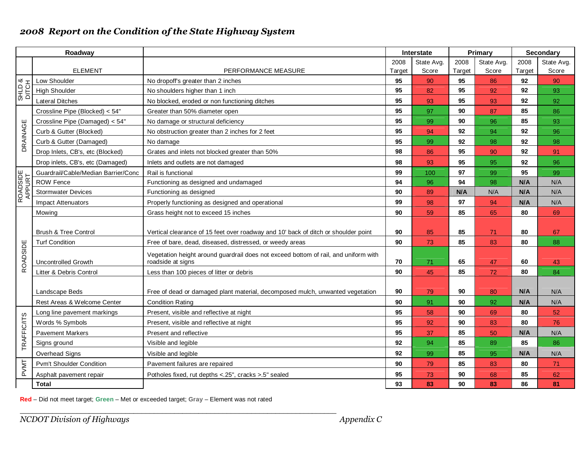|                    | Roadway                             |                                                                                     | Primary<br>Interstate |            |        |            | <b>Secondary</b> |            |  |
|--------------------|-------------------------------------|-------------------------------------------------------------------------------------|-----------------------|------------|--------|------------|------------------|------------|--|
|                    |                                     |                                                                                     | 2008                  | State Avg. | 2008   | State Avg. | 2008             | State Avg. |  |
|                    | <b>ELEMENT</b>                      | PERFORMANCE MEASURE                                                                 | Target                | Score      | Target | Score      | Target           | Score      |  |
| SHLD &<br>DITCH    | Low Shoulder                        | No dropoff's greater than 2 inches                                                  | 95                    | 90         | 95     | 86         | 92               | 90         |  |
|                    | <b>High Shoulder</b>                | No shoulders higher than 1 inch                                                     | 95                    | 82         | 95     | 92         | 92               | 93         |  |
|                    | <b>Lateral Ditches</b>              | No blocked, eroded or non functioning ditches                                       | 95                    | 93         | 95     | 93         | 92               | 92         |  |
|                    | Crossline Pipe (Blocked) < 54"      | Greater than 50% diameter open                                                      | 95                    | 97         | 90     | 87         | 85               | 86         |  |
|                    | Crossline Pipe (Damaged) < 54"      | No damage or structural deficiency                                                  | 95                    | 99         | 90     | 96         | 85               | 93         |  |
| DRAINAGE           | Curb & Gutter (Blocked)             | No obstruction greater than 2 inches for 2 feet                                     | 95                    | 94         | 92     | 94         | 92               | 96         |  |
|                    | Curb & Gutter (Damaged)             | No damage                                                                           | 95                    | 99         | 92     | 98         | 92               | 98         |  |
|                    | Drop Inlets, CB's, etc (Blocked)    | Grates and inlets not blocked greater than 50%                                      | 98                    | 86         | 95     | 90         | 92               | 91         |  |
|                    | Drop inlets, CB's, etc (Damaged)    | Inlets and outlets are not damaged                                                  | 98                    | 93         | 95     | 95         | 92               | 96         |  |
| ROADSIDE<br>APPURT | Guardrail/Cable/Median Barrier/Conc | Rail is functional                                                                  | 99                    | 100        | 97     | 99         | 95               | 99         |  |
|                    | <b>ROW Fence</b>                    | Functioning as designed and undamaged                                               | 94                    | 96         | 94     | 98         | N/A              | N/A        |  |
|                    | <b>Stormwater Devices</b>           | Functioning as designed                                                             | 90                    | 89         | N/A    | N/A        | N/A              | N/A        |  |
|                    | <b>Impact Attenuators</b>           | Properly functioning as designed and operational                                    | 99                    | 98         | 97     | 94         | N/A              | N/A        |  |
|                    | Mowing                              | Grass height not to exceed 15 inches                                                | 90                    | 59         | 85     | 65         | 80               | 69         |  |
|                    |                                     |                                                                                     |                       |            |        |            |                  |            |  |
|                    | <b>Brush &amp; Tree Control</b>     | Vertical clearance of 15 feet over roadway and 10' back of ditch or shoulder point  | 90                    | 85         | 85     | 71         | 80               | 67         |  |
|                    | <b>Turf Condition</b>               | Free of bare, dead, diseased, distressed, or weedy areas                            | 90                    | 73         | 85     | 83         | 80               | 88         |  |
| ROADSIDE           |                                     | Vegetation height around guardrail does not exceed bottom of rail, and uniform with |                       |            |        |            |                  |            |  |
|                    | <b>Uncontrolled Growth</b>          | roadside at signs                                                                   | 70                    | 71         | 65     | 47         | 60               | 43         |  |
|                    | Litter & Debris Control             | Less than 100 pieces of litter or debris                                            | 90                    | 45         | 85     | 72         | 80               | 84         |  |
|                    |                                     |                                                                                     |                       |            |        |            |                  |            |  |
|                    | Landscape Beds                      | Free of dead or damaged plant material, decomposed mulch, unwanted vegetation       | 90                    | 79         | 90     | 80         | N/A              | N/A        |  |
|                    | Rest Areas & Welcome Center         | <b>Condition Rating</b>                                                             | 90                    | 91         | 90     | 92         | N/A              | N/A        |  |
|                    | Long line pavement markings         | Present, visible and reflective at night                                            | 95                    | 58         | 90     | 69         | 80               | 52         |  |
|                    | Words % Symbols                     | Present, visible and reflective at night                                            | 95                    | 92         | 90     | 83         | 80               | 76         |  |
|                    | <b>Pavement Markers</b>             | Present and reflective                                                              | 95                    | 37         | 85     | 50         | N/A              | N/A        |  |
| <b>TRAFFIC/ITS</b> | Signs ground                        | Visible and legible                                                                 | 92                    | 94         | 85     | 89         | 85               | 86         |  |
|                    | Overhead Signs                      | Visible and legible                                                                 | 92                    | 99         | 85     | 95         | N/A              | N/A        |  |
| <b>PVMT</b>        | <b>Pym't Shoulder Condition</b>     | Pavement failures are repaired                                                      | 90                    | 79         | 85     | 83         | 80               | 71         |  |
|                    | Asphalt pavement repair             | Potholes fixed, rut depths < 25", cracks > 5" sealed                                | 95                    | 73         | 90     | 68         | 85               | 62         |  |
|                    | <b>Total</b>                        |                                                                                     | 93                    | 83         | 90     | 83         | 86               | 81         |  |

**Red** – Did not meet target; **Green** – Met or exceeded target; **Gray** – Element was not rated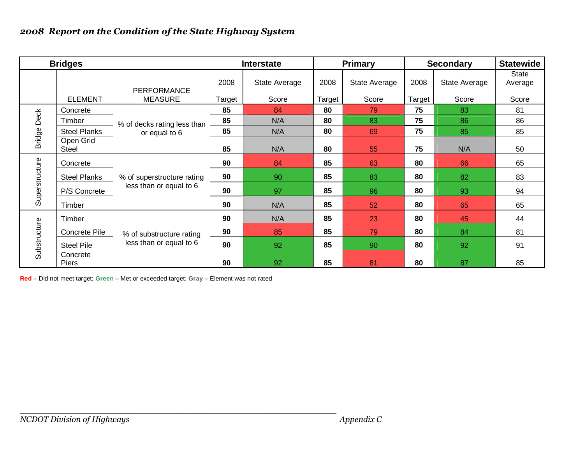|                | <b>Bridges</b>            |                             |        | <b>Interstate</b> |        | <b>Primary</b> | <b>Secondary</b> |               | <b>Statewide</b> |  |
|----------------|---------------------------|-----------------------------|--------|-------------------|--------|----------------|------------------|---------------|------------------|--|
|                |                           | <b>PERFORMANCE</b>          | 2008   | State Average     | 2008   | State Average  | 2008             | State Average | State<br>Average |  |
|                | <b>ELEMENT</b>            | <b>MEASURE</b>              | Target | Score             | Target | Score          | Target           | Score         | Score            |  |
|                | Concrete                  |                             | 85     | 84                | 80     | 79             | 75               | 83            | 81               |  |
| Deck           | Timber                    | % of decks rating less than | 85     | N/A               | 80     | 83             | 75               | 86            | 86               |  |
|                | <b>Steel Planks</b>       | or equal to 6               | 85     | N/A               | 80     | 69             | 75               | 85            | 85               |  |
| <b>Bridge</b>  | Open Grid<br><b>Steel</b> |                             | 85     | N/A               | 80     | 55             | 75               | N/A           | 50               |  |
|                | Concrete                  |                             | 90     | 84                | 85     | 63             | 80               | 66            | 65               |  |
| Superstructure | <b>Steel Planks</b>       | % of superstructure rating  | 90     | 90                | 85     | 83             | 80               | 82            | 83               |  |
|                | P/S Concrete              | less than or equal to 6     | 90     | 97                | 85     | 96             | 80               | 93            | 94               |  |
|                | Timber                    |                             | 90     | N/A               | 85     | 52             | 80               | 65            | 65               |  |
|                | Timber                    |                             | 90     | N/A               | 85     | 23             | 80               | 45            | 44               |  |
|                | Concrete Pile             | % of substructure rating    | 90     | 85                | 85     | 79             | 80               | 84            | 81               |  |
| Substructure   | <b>Steel Pile</b>         | less than or equal to 6     | 90     | 92                | 85     | 90             | 80               | 92            | 91               |  |
|                | Concrete<br><b>Piers</b>  |                             | 90     | 92                | 85     | 81             | 80               | 87            | 85               |  |

**Red** – Did not meet target; **Green** – Met or exceeded target; **Gray** – Element was not rated